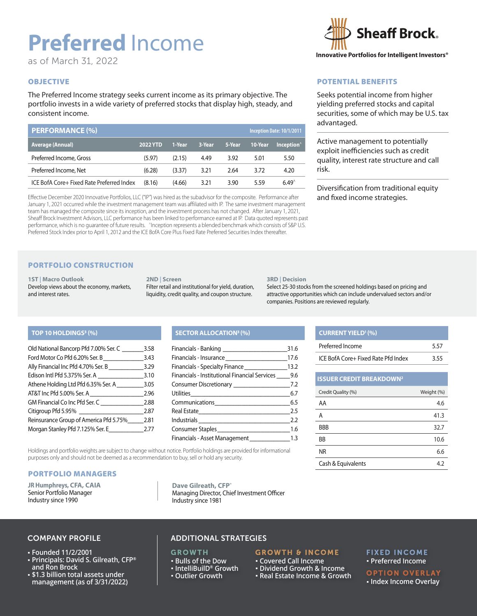# **Preferred** Income

as of March 31, 2022

## **OBJECTIVE**

The Preferred Income strategy seeks current income as its primary objective. The portfolio invests in a wide variety of preferred stocks that display high, steady, and consistent income.

| <b>PERFORMANCE (%)</b>                    |                 |        |        |        |         | Inception Date: 10/1/2011 |  |
|-------------------------------------------|-----------------|--------|--------|--------|---------|---------------------------|--|
| Average (Annual)                          | <b>2022 YTD</b> | 1-Year | 3-Year | 5-Year | 10-Year | Inception <sup>^</sup>    |  |
| Preferred Income, Gross                   | (5.97)          | (2.15) | 4.49   | 3.92   | 5.01    | 5.50                      |  |
| Preferred Income, Net                     | (6.28)          | (3.37) | 3.21   | 2.64   | 3.72    | 4.20                      |  |
| ICE BofA Core+ Fixed Rate Preferred Index | (8.16)          | (4.66) | 3.21   | 3.90   | 5.59    | $6.49^{\circ}$            |  |

Effective December 2020 Innovative Portfolios, LLC ("IP") was hired as the subadvisor for the composite. Performance after January 1, 2021 occurred while the investment management team was affiliated with IP. The same investment management team has managed the composite since its inception, and the investment process has not changed. After January 1, 2021, Sheaff Brock Investment Advisors, LLC performance has been linked to performance earned at IP. Data quoted represents past performance, which is no quarantee of future results. ^Inception represents a blended benchmark which consists of S&P U.S. Preferred Stock Index prior to April 1, 2012 and the ICE BofA Core Plus Fixed Rate Preferred Securities Index thereafter.

## PORTFOLIO CONSTRUCTION

**1ST | Macro Outlook**  Develop views about the economy, markets, and interest rates.

#### **2ND | Screen**

Filter retail and institutional for yield, duration, liquidity, credit quality, and coupon structure.

#### **3RD | Decision**

Select 25-30 stocks from the screened holdings based on pricing and attractive opportunities which can include undervalued sectors and/or companies. Positions are reviewed regularly.

**CURRENT YIELD1 (%)**

**ISSUER CREDIT BREAKDOWN2**

## TOP 10 HOLDINGS<sup>3</sup> (%)

| Old National Bancorp Pfd 7.00% Ser. C  | 3.58 |
|----------------------------------------|------|
| Ford Motor Co Pfd 6.20% Ser. B         | 3.43 |
| Ally Financial Inc Pfd 4.70% Ser. B    | 3.29 |
| Edison Intl Pfd 5.375% Ser. A          | 3.10 |
| Athene Holding Ltd Pfd 6.35% Ser. A    | 3.05 |
| AT&T Inc Pfd 5.00% Ser. A              | 2.96 |
| GM Financial Co Inc Pfd Ser. C         | 2.88 |
| Citigroup Pfd 5.95%                    | 2.87 |
| Reinsurance Group of America Pfd 5.75% | 2.81 |
| Morgan Stanley Pfd 7.125% Ser. E       | 2.77 |
|                                        |      |

## **(%) SECTOR ALLOCATION3 (%)**

| Financials - Specialty Finance___________________13.2 |  |
|-------------------------------------------------------|--|
| Financials - Institutional Financial Services 9.6     |  |
|                                                       |  |
|                                                       |  |
|                                                       |  |
|                                                       |  |
|                                                       |  |
|                                                       |  |
| Financials - Asset Management _________________1.3    |  |

Holdings and portfolio weights are subject to change without notice. Portfolio holdings are provided for informational purposes only and should not be deemed as a recommendation to buy, sell or hold any security.

## PORTFOLIO MANAGERS

**JR Humphreys, CFA, CAIA** Senior Portfolio Manager Industry since 1990

**Dave Gilreath, CFP®** Managing Director, Chief Investment Officer Industry since 1981

## COMPANY PROFILE

- **Founded 11/2/2001**
- **Principals: David S. Gilreath, CFP® and Ron Brock**
- **\$1.3 billion total assets under management (as of 3/31/2022)**

## ADDITIONAL STRATEGIES

## **GROWTH**

- **Bulls of the Dow IntelliBuilD® Growth**
- 
- **Outlier Growth**

### GROWTH & INCOME  **Covered Call Income**

- **Dividend Growth & Income**
- **Real Estate Income & Growth**

## FIXED INCOME  **Preferred Income**

## OPTION OVERLAY

 **Index Income Overlay**



## POTENTIAL BENEFITS

Seeks potential income from higher yielding preferred stocks and capital securities, some of which may be U.S. tax advantaged.

Active management to potentially exploit inefficiencies such as credit quality, interest rate structure and call risk.

Diversification from traditional equity and fixed income strategies.

Preferred Income 5.57 ICE BofA Core+ Fixed Rate Pfd Index 3.55

Credit Quality (%) Credit Quality (%)  $AA$  4.6  $A$  41.3  $BBB$  32.7  $BB$  10.6  $NR$  6.6 Cash & Equivalents 4.2